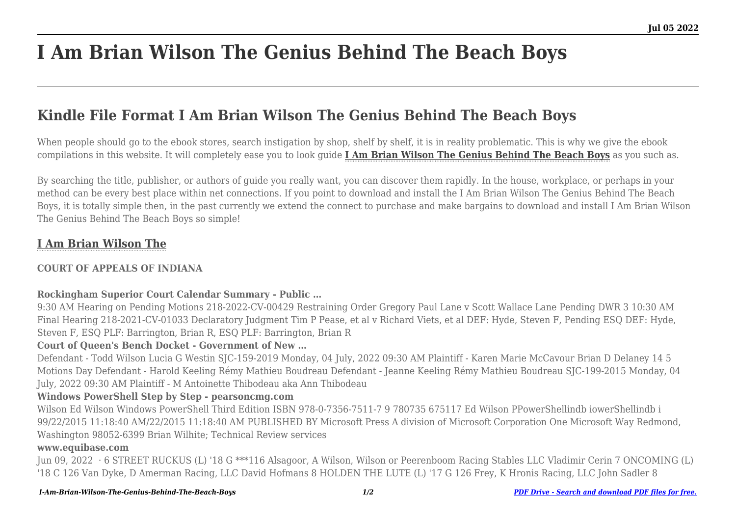# **I Am Brian Wilson The Genius Behind The Beach Boys**

# **Kindle File Format I Am Brian Wilson The Genius Behind The Beach Boys**

When people should go to the ebook stores, search instigation by shop, shelf by shelf, it is in reality problematic. This is why we give the ebook compilations in this website. It will completely ease you to look guide **[I Am Brian Wilson The Genius Behind The Beach Boys](http://goldwoodgardens.com)** as you such as.

By searching the title, publisher, or authors of guide you really want, you can discover them rapidly. In the house, workplace, or perhaps in your method can be every best place within net connections. If you point to download and install the I Am Brian Wilson The Genius Behind The Beach Boys, it is totally simple then, in the past currently we extend the connect to purchase and make bargains to download and install I Am Brian Wilson The Genius Behind The Beach Boys so simple!

# **[I Am Brian Wilson The](http://goldwoodgardens.com/I-Am-Brian-Wilson-The-Genius-Behind-The-Beach-Boys.pdf)**

# **COURT OF APPEALS OF INDIANA**

#### **Rockingham Superior Court Calendar Summary - Public …**

9:30 AM Hearing on Pending Motions 218-2022-CV-00429 Restraining Order Gregory Paul Lane v Scott Wallace Lane Pending DWR 3 10:30 AM Final Hearing 218-2021-CV-01033 Declaratory Judgment Tim P Pease, et al v Richard Viets, et al DEF: Hyde, Steven F, Pending ESQ DEF: Hyde, Steven F, ESQ PLF: Barrington, Brian R, ESQ PLF: Barrington, Brian R

# **Court of Queen's Bench Docket - Government of New …**

Defendant - Todd Wilson Lucia G Westin SJC-159-2019 Monday, 04 July, 2022 09:30 AM Plaintiff - Karen Marie McCavour Brian D Delaney 14 5 Motions Day Defendant - Harold Keeling Rémy Mathieu Boudreau Defendant - Jeanne Keeling Rémy Mathieu Boudreau SJC-199-2015 Monday, 04 July, 2022 09:30 AM Plaintiff - M Antoinette Thibodeau aka Ann Thibodeau

# **Windows PowerShell Step by Step - pearsoncmg.com**

Wilson Ed Wilson Windows PowerShell Third Edition ISBN 978-0-7356-7511-7 9 780735 675117 Ed Wilson PPowerShellindb iowerShellindb i 99/22/2015 11:18:40 AM/22/2015 11:18:40 AM PUBLISHED BY Microsoft Press A division of Microsoft Corporation One Microsoft Way Redmond, Washington 98052-6399 Brian Wilhite; Technical Review services

#### **www.equibase.com**

Jun 09, 2022 · 6 STREET RUCKUS (L) '18 G \*\*\*116 Alsagoor, A Wilson, Wilson or Peerenboom Racing Stables LLC Vladimir Cerin 7 ONCOMING (L) '18 C 126 Van Dyke, D Amerman Racing, LLC David Hofmans 8 HOLDEN THE LUTE (L) '17 G 126 Frey, K Hronis Racing, LLC John Sadler 8